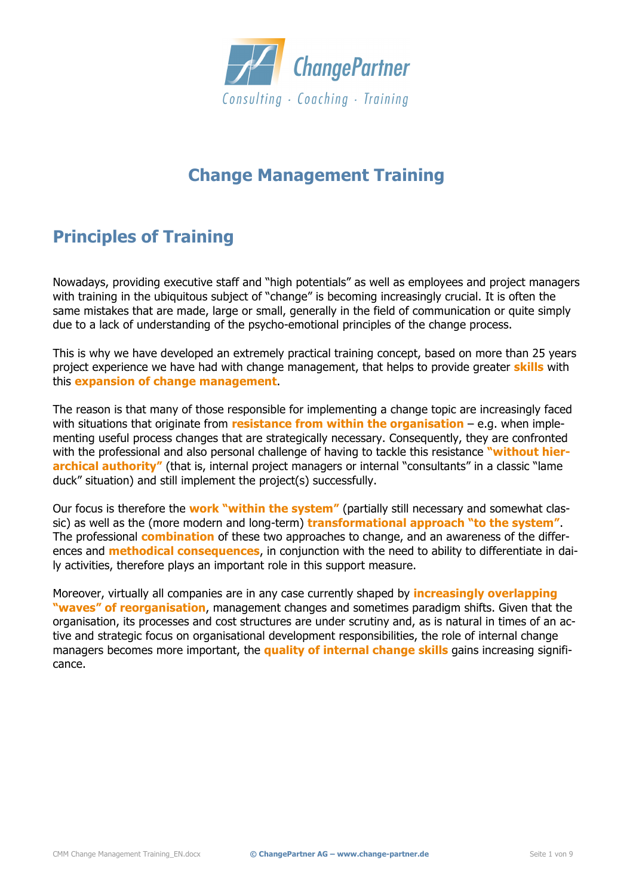

# **Change Management Training**

# **Principles of Training**

Nowadays, providing executive staff and "high potentials" as well as employees and project managers with training in the ubiquitous subject of "change" is becoming increasingly crucial. It is often the same mistakes that are made, large or small, generally in the field of communication or quite simply due to a lack of understanding of the psycho-emotional principles of the change process.

This is why we have developed an extremely practical training concept, based on more than 25 years project experience we have had with change management, that helps to provide greater **skills** with this **expansion of change management**.

The reason is that many of those responsible for implementing a change topic are increasingly faced with situations that originate from **resistance from within the organisation** – e.g. when implementing useful process changes that are strategically necessary. Consequently, they are confronted with the professional and also personal challenge of having to tackle this resistance **"without hierarchical authority"** (that is, internal project managers or internal "consultants" in a classic "lame duck" situation) and still implement the project(s) successfully.

Our focus is therefore the **work "within the system"** (partially still necessary and somewhat classic) as well as the (more modern and long-term) **transformational approach "to the system"**. The professional **combination** of these two approaches to change, and an awareness of the differences and **methodical consequences**, in conjunction with the need to ability to differentiate in daily activities, therefore plays an important role in this support measure.

Moreover, virtually all companies are in any case currently shaped by **increasingly overlapping "waves" of reorganisation**, management changes and sometimes paradigm shifts. Given that the organisation, its processes and cost structures are under scrutiny and, as is natural in times of an active and strategic focus on organisational development responsibilities, the role of internal change managers becomes more important, the **quality of internal change skills** gains increasing significance.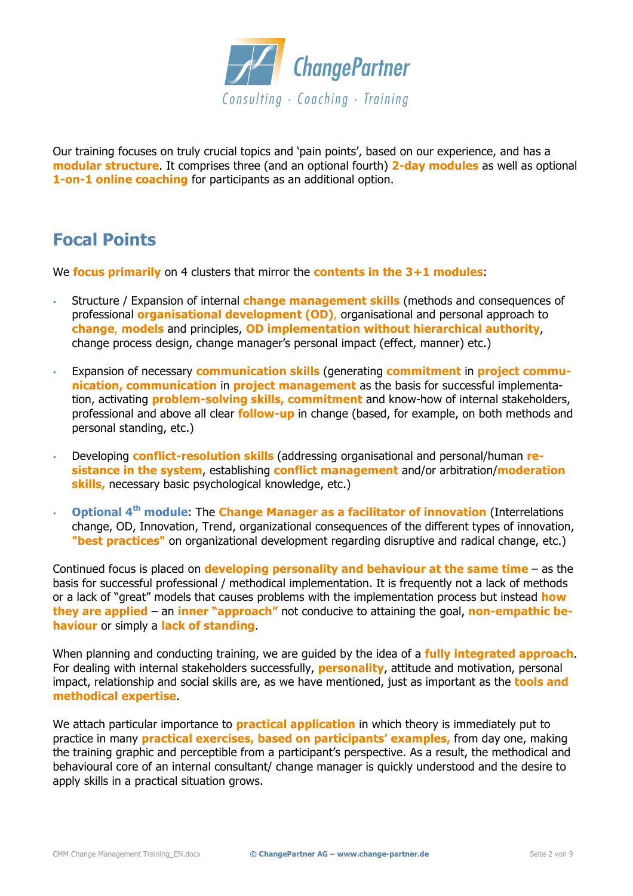

Our training focuses on truly crucial topics and 'pain points', based on our experience, and has a **modular structure**. It comprises three (and an optional fourth) **2-day modules** as well as optional **1-on-1 online coaching** for participants as an additional option.

# **Focal Points**

We **focus primarily** on 4 clusters that mirror the **contents in the 3+1 modules**:

- Structure / Expansion of internal **change management skills** (methods and consequences of professional **organisational development (OD)**, organisational and personal approach to **change**, **models** and principles, **OD implementation without hierarchical authority**, change process design, change manager's personal impact (effect, manner) etc.)
- Expansion of necessary **communication skills** (generating **commitment** in **project communication, communication** in **project management** as the basis for successful implementation, activating **problem-solving skills, commitment** and know-how of internal stakeholders, professional and above all clear **follow-up** in change (based, for example, on both methods and personal standing, etc.)
- Developing **conflict-resolution skills** (addressing organisational and personal/human **resistance in the system**, establishing **conflict management** and/or arbitration/**moderation skills,** necessary basic psychological knowledge, etc.)
- **Optional 4th module**: The **Change Manager as a facilitator of innovation** (Interrelations change, OD, Innovation, Trend, organizational consequences of the different types of innovation, **"best practices"** on organizational development regarding disruptive and radical change, etc.)

Continued focus is placed on **developing personality and behaviour at the same time** – as the basis for successful professional / methodical implementation. It is frequently not a lack of methods or a lack of "great" models that causes problems with the implementation process but instead **how they are applied** – an **inner "approach"** not conducive to attaining the goal, **non-empathic behaviour** or simply a **lack of standing**.

When planning and conducting training, we are guided by the idea of a **fully integrated approach**. For dealing with internal stakeholders successfully, **personality**, attitude and motivation, personal impact, relationship and social skills are, as we have mentioned, just as important as the **tools and methodical expertise**.

We attach particular importance to **practical application** in which theory is immediately put to practice in many **practical exercises, based on participants' examples,** from day one, making the training graphic and perceptible from a participant's perspective. As a result, the methodical and behavioural core of an internal consultant/ change manager is quickly understood and the desire to apply skills in a practical situation grows.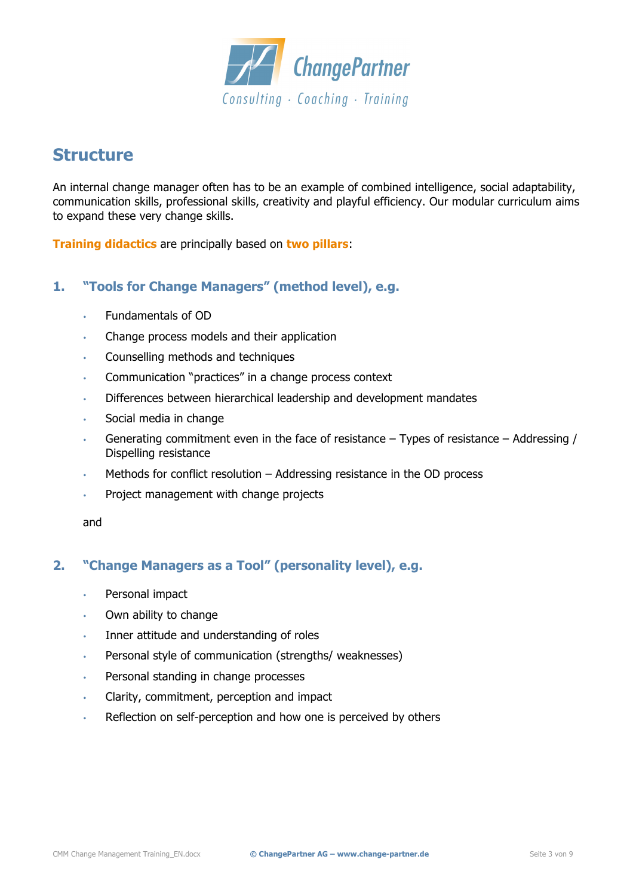

## **Structure**

An internal change manager often has to be an example of combined intelligence, social adaptability, communication skills, professional skills, creativity and playful efficiency. Our modular curriculum aims to expand these very change skills.

**Training didactics** are principally based on **two pillars**:

## **1. "Tools for Change Managers" (method level), e.g.**

- Fundamentals of OD
- Change process models and their application
- Counselling methods and techniques
- Communication "practices" in a change process context
- Differences between hierarchical leadership and development mandates
- Social media in change
- Generating commitment even in the face of resistance Types of resistance Addressing / Dispelling resistance
- Methods for conflict resolution Addressing resistance in the OD process
- Project management with change projects

and

### **2. "Change Managers as a Tool" (personality level), e.g.**

- Personal impact
- Own ability to change
- Inner attitude and understanding of roles
- Personal style of communication (strengths/ weaknesses)
- Personal standing in change processes
- Clarity, commitment, perception and impact
- Reflection on self-perception and how one is perceived by others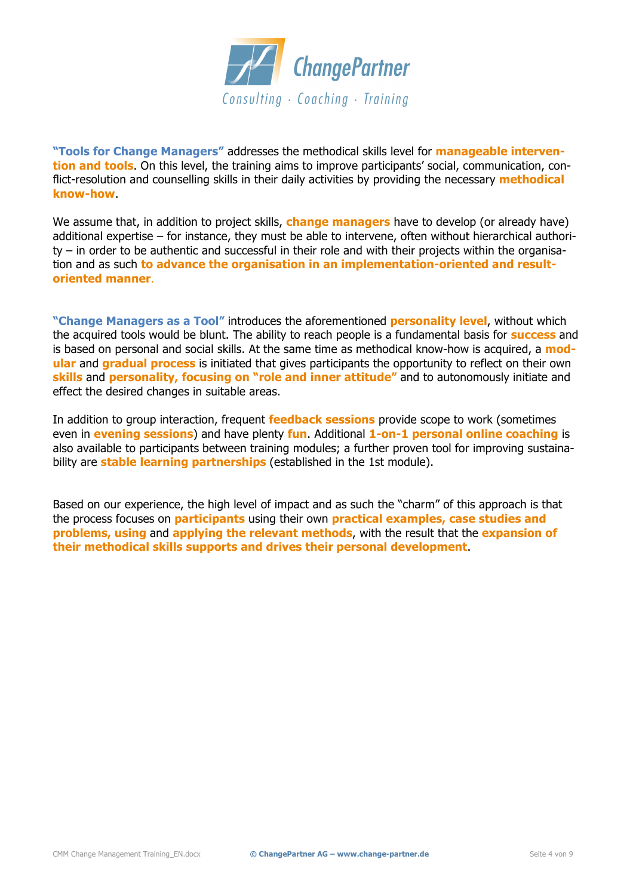

**"Tools for Change Managers"** addresses the methodical skills level for **manageable intervention and tools**. On this level, the training aims to improve participants' social, communication, conflict-resolution and counselling skills in their daily activities by providing the necessary **methodical know-how**.

We assume that, in addition to project skills, **change managers** have to develop (or already have) additional expertise – for instance, they must be able to intervene, often without hierarchical authority – in order to be authentic and successful in their role and with their projects within the organisation and as such **to advance the organisation in an implementation-oriented and resultoriented manner**.

**"Change Managers as a Tool"** introduces the aforementioned **personality level**, without which the acquired tools would be blunt. The ability to reach people is a fundamental basis for **success** and is based on personal and social skills. At the same time as methodical know-how is acquired, a **modular** and **gradual process** is initiated that gives participants the opportunity to reflect on their own **skills** and **personality, focusing on "role and inner attitude"** and to autonomously initiate and effect the desired changes in suitable areas.

In addition to group interaction, frequent **feedback sessions** provide scope to work (sometimes even in **evening sessions**) and have plenty **fun**. Additional **1-on-1 personal online coaching** is also available to participants between training modules; a further proven tool for improving sustainability are **stable learning partnerships** (established in the 1st module).

Based on our experience, the high level of impact and as such the "charm" of this approach is that the process focuses on **participants** using their own **practical examples, case studies and problems, using** and **applying the relevant methods**, with the result that the **expansion of their methodical skills supports and drives their personal development**.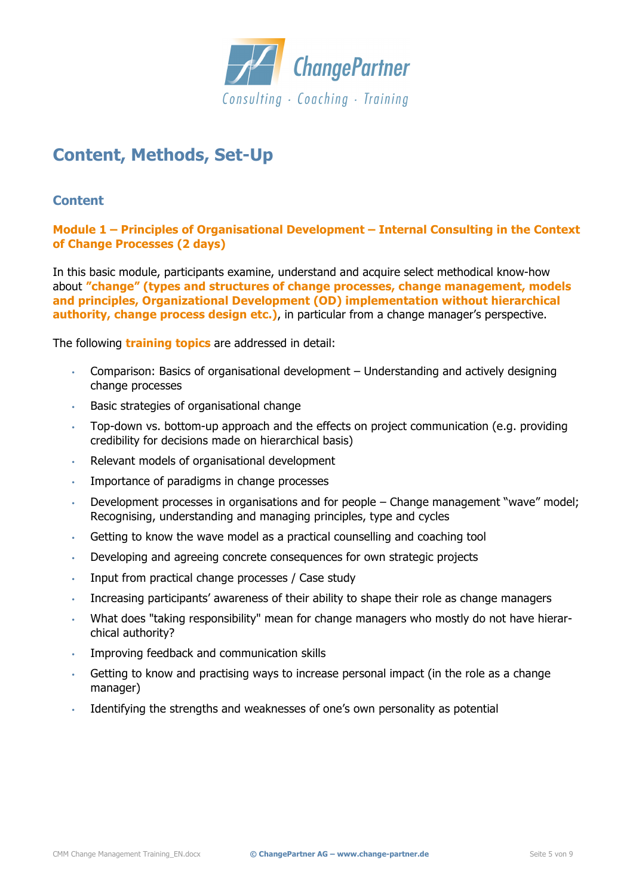

# **Content, Methods, Set-Up**

### **Content**

**Module 1 – Principles of Organisational Development – Internal Consulting in the Context of Change Processes (2 days)**

In this basic module, participants examine, understand and acquire select methodical know-how about **"change" (types and structures of change processes, change management, models and principles, Organizational Development (OD) implementation without hierarchical authority, change process design etc.)**, in particular from a change manager's perspective.

The following **training topics** are addressed in detail:

- Comparison: Basics of organisational development Understanding and actively designing change processes
- Basic strategies of organisational change
- Top-down vs. bottom-up approach and the effects on project communication (e.g. providing credibility for decisions made on hierarchical basis)
- Relevant models of organisational development
- Importance of paradigms in change processes
- Development processes in organisations and for people Change management "wave" model; Recognising, understanding and managing principles, type and cycles
- Getting to know the wave model as a practical counselling and coaching tool
- Developing and agreeing concrete consequences for own strategic projects
- Input from practical change processes / Case study
- Increasing participants' awareness of their ability to shape their role as change managers
- What does "taking responsibility" mean for change managers who mostly do not have hierarchical authority?
- Improving feedback and communication skills
- Getting to know and practising ways to increase personal impact (in the role as a change manager)
- Identifying the strengths and weaknesses of one's own personality as potential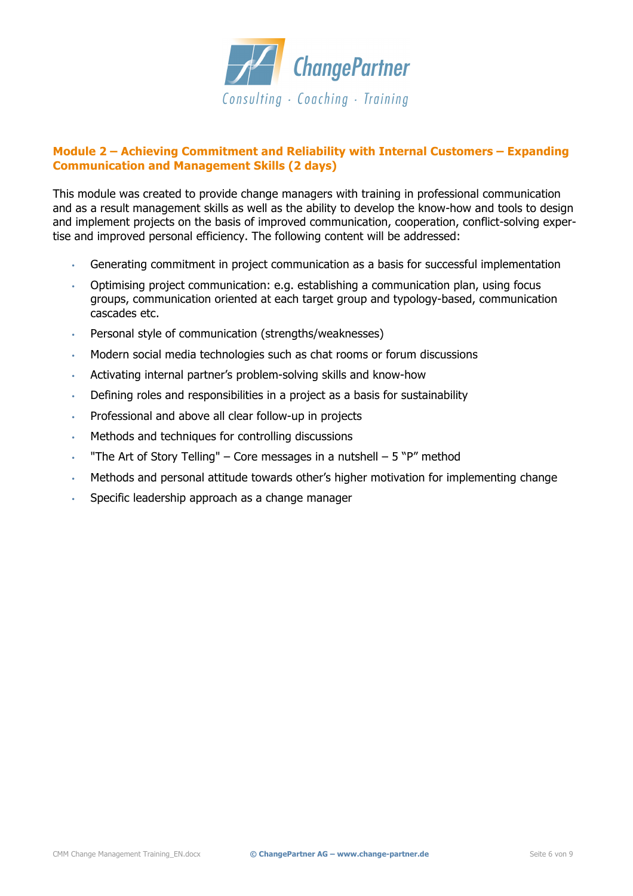

### **Module 2 – Achieving Commitment and Reliability with Internal Customers – Expanding Communication and Management Skills (2 days)**

This module was created to provide change managers with training in professional communication and as a result management skills as well as the ability to develop the know-how and tools to design and implement projects on the basis of improved communication, cooperation, conflict-solving expertise and improved personal efficiency. The following content will be addressed:

- Generating commitment in project communication as a basis for successful implementation
- Optimising project communication: e.g. establishing a communication plan, using focus groups, communication oriented at each target group and typology-based, communication cascades etc.
- Personal style of communication (strengths/weaknesses)
- Modern social media technologies such as chat rooms or forum discussions
- Activating internal partner's problem-solving skills and know-how
- Defining roles and responsibilities in a project as a basis for sustainability
- Professional and above all clear follow-up in projects
- Methods and techniques for controlling discussions
- "The Art of Story Telling" Core messages in a nutshell  $-5$  "P" method
- Methods and personal attitude towards other's higher motivation for implementing change
- Specific leadership approach as a change manager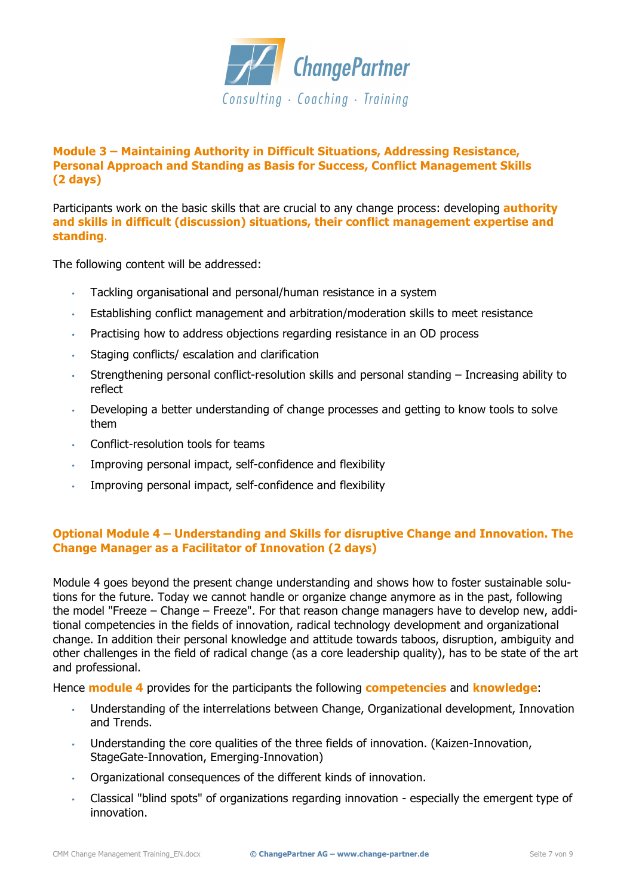

### **Module 3 – Maintaining Authority in Difficult Situations, Addressing Resistance, Personal Approach and Standing as Basis for Success, Conflict Management Skills (2 days)**

Participants work on the basic skills that are crucial to any change process: developing **authority and skills in difficult (discussion) situations, their conflict management expertise and standing**.

The following content will be addressed:

- Tackling organisational and personal/human resistance in a system
- Establishing conflict management and arbitration/moderation skills to meet resistance
- Practising how to address objections regarding resistance in an OD process
- Staging conflicts/ escalation and clarification
- Strengthening personal conflict-resolution skills and personal standing Increasing ability to reflect
- Developing a better understanding of change processes and getting to know tools to solve them
- Conflict-resolution tools for teams
- Improving personal impact, self-confidence and flexibility
- Improving personal impact, self-confidence and flexibility

#### **Optional Module 4 – Understanding and Skills for disruptive Change and Innovation. The Change Manager as a Facilitator of Innovation (2 days)**

Module 4 goes beyond the present change understanding and shows how to foster sustainable solutions for the future. Today we cannot handle or organize change anymore as in the past, following the model "Freeze – Change – Freeze". For that reason change managers have to develop new, additional competencies in the fields of innovation, radical technology development and organizational change. In addition their personal knowledge and attitude towards taboos, disruption, ambiguity and other challenges in the field of radical change (as a core leadership quality), has to be state of the art and professional.

Hence **module 4** provides for the participants the following **competencies** and **knowledge**:

- Understanding of the interrelations between Change, Organizational development, Innovation and Trends.
- Understanding the core qualities of the three fields of innovation. (Kaizen-Innovation, StageGate-Innovation, Emerging-Innovation)
- Organizational consequences of the different kinds of innovation.
- Classical "blind spots" of organizations regarding innovation especially the emergent type of innovation.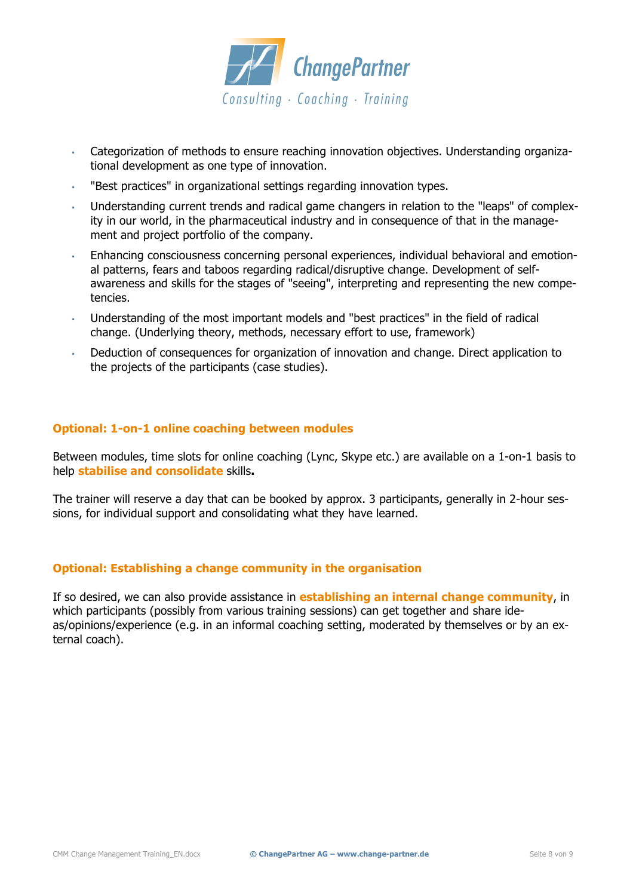

- Categorization of methods to ensure reaching innovation objectives. Understanding organizational development as one type of innovation.
- "Best practices" in organizational settings regarding innovation types.
- Understanding current trends and radical game changers in relation to the "leaps" of complexity in our world, in the pharmaceutical industry and in consequence of that in the management and project portfolio of the company.
- Enhancing consciousness concerning personal experiences, individual behavioral and emotional patterns, fears and taboos regarding radical/disruptive change. Development of selfawareness and skills for the stages of "seeing", interpreting and representing the new competencies.
- Understanding of the most important models and "best practices" in the field of radical change. (Underlying theory, methods, necessary effort to use, framework)
- Deduction of consequences for organization of innovation and change. Direct application to the projects of the participants (case studies).

#### **Optional: 1-on-1 online coaching between modules**

Between modules, time slots for online coaching (Lync, Skype etc.) are available on a 1-on-1 basis to help **stabilise and consolidate** skills**.**

The trainer will reserve a day that can be booked by approx. 3 participants, generally in 2-hour sessions, for individual support and consolidating what they have learned.

#### **Optional: Establishing a change community in the organisation**

If so desired, we can also provide assistance in **establishing an internal change community**, in which participants (possibly from various training sessions) can get together and share ideas/opinions/experience (e.g. in an informal coaching setting, moderated by themselves or by an external coach).